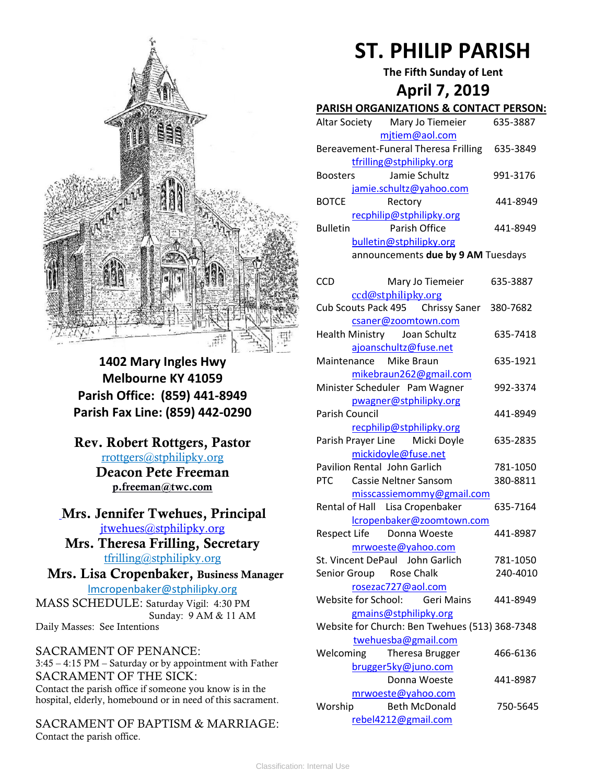

**1402 Mary Ingles Hwy Melbourne KY 41059 Parish Office: (859) 441-8949 Parish Fax Line: (859) 442-0290**

**Rev. Robert Rottgers, Pastor**  [rrottgers@stphilipky.org](mailto:rrottgers@stphilipky.org) **Deacon Pete Freeman p.freeman@twc.com**

**Mrs. Jennifer Twehues, Principal** [jtwehues@stphilipky.org](mailto:jtwehues@stphilipky.org)

**Mrs. Theresa Frilling, Secretary**  [tfrilling@stphilipky.org](mailto:tfrilling@stphilipky.org)

 **Mrs. Lisa Cropenbaker, Business Manager**  lmcropenbaker@stphilipky.org

MASS SCHEDULE: Saturday Vigil: 4:30 PM Sunday: 9 AM & 11 AM Daily Masses: See Intentions

SACRAMENT OF PENANCE: 3:45 – 4:15 PM – Saturday or by appointment with Father SACRAMENT OF THE SICK: Contact the parish office if someone you know is in the hospital, elderly, homebound or in need of this sacrament.

SACRAMENT OF BAPTISM & MARRIAGE: Contact the parish office.

# **ST. PHILIP PARISH**

**The Fifth Sunday of Lent**

# **April 7, 2019**

#### **PARISH ORGANIZATIONS & CONTACT PERSON:**

| Altar Society                        | Mary Jo Tiemeier         | 635-3887 |
|--------------------------------------|--------------------------|----------|
|                                      | mjtiem@aol.com           |          |
| Bereavement-Funeral Theresa Frilling |                          | 635-3849 |
|                                      | tfrilling@stphilipky.org |          |
| <b>Boosters</b>                      | Jamie Schultz            | 991-3176 |
|                                      | jamie.schultz@yahoo.com  |          |
| <b>BOTCE</b>                         | Rectory                  | 441-8949 |
|                                      | recphilip@stphilipky.org |          |
| <b>Bulletin</b>                      | Parish Office            | 441-8949 |
|                                      | bulletin@stphilipky.org  |          |
| announcements due by 9 AM Tuesdays   |                          |          |

| <b>CCD</b>            | Mary Jo Tiemeier                               | 635-3887 |
|-----------------------|------------------------------------------------|----------|
|                       | ccd@stphilipky.org                             |          |
|                       | Cub Scouts Pack 495 Chrissy Saner              | 380-7682 |
|                       | csaner@zoomtown.com                            |          |
|                       | Health Ministry Joan Schultz                   | 635-7418 |
|                       | ajoanschultz@fuse.net                          |          |
|                       | Maintenance Mike Braun                         | 635-1921 |
|                       | mikebraun262@gmail.com                         |          |
|                       | Minister Scheduler Pam Wagner                  | 992-3374 |
|                       | pwagner@stphilipky.org                         |          |
| <b>Parish Council</b> |                                                | 441-8949 |
|                       | recphilip@stphilipky.org                       |          |
|                       | Parish Prayer Line Micki Doyle                 | 635-2835 |
|                       | mickidoyle@fuse.net                            |          |
|                       | <b>Pavilion Rental John Garlich</b>            | 781-1050 |
| PTC                   | <b>Cassie Neltner Sansom</b>                   | 380-8811 |
|                       | misscassiemommy@gmail.com                      |          |
|                       | Rental of Hall Lisa Cropenbaker                | 635-7164 |
|                       | lcropenbaker@zoomtown.com                      |          |
|                       | Respect Life  Donna Woeste                     | 441-8987 |
|                       | mrwoeste@yahoo.com                             |          |
|                       | St. Vincent DePaul John Garlich                | 781-1050 |
|                       | Senior Group Rose Chalk                        | 240-4010 |
|                       | rosezac727@aol.com                             |          |
|                       | Website for School: Geri Mains                 | 441-8949 |
|                       | gmains@stphilipky.org                          |          |
|                       | Website for Church: Ben Twehues (513) 368-7348 |          |
|                       | twehuesba@gmail.com                            |          |
| Welcoming             | Theresa Brugger                                | 466-6136 |
|                       | brugger5ky@juno.com                            |          |
|                       | Donna Woeste                                   | 441-8987 |
|                       | mrwoeste@yahoo.com                             |          |
| Worship               | <b>Beth McDonald</b>                           | 750-5645 |
|                       | rebel4212@gmail.com                            |          |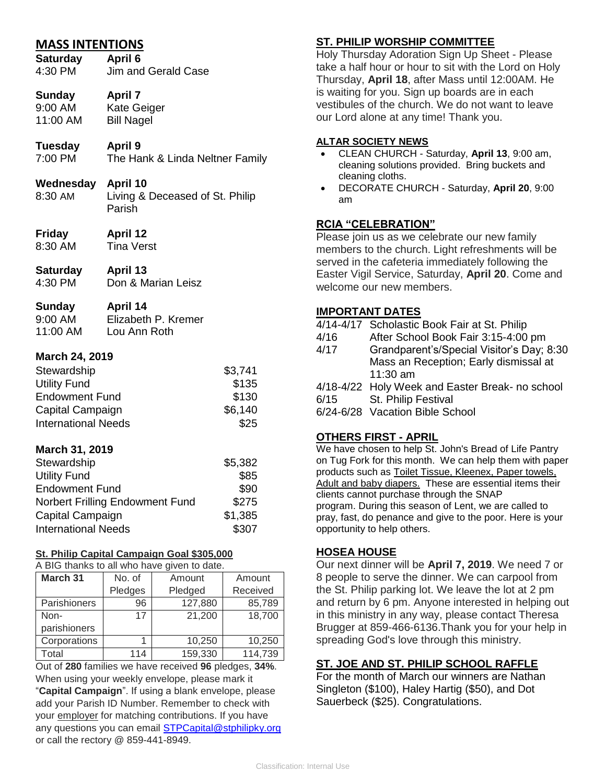# **MASS INTENTIONS**

**Saturday April 6** 4:30 PM Jim and Gerald Case

# **Sunday April 7**

9:00 AM Kate Geiger 11:00 AM Bill Nagel

# **Tuesday April 9**

7:00 PM The Hank & Linda Neltner Family

#### **Wednesday April 10**

- 8:30 AM Living & Deceased of St. Philip Parish
- **Friday April 12**
- 8:30 AM Tina Verst
- **Saturday April 13**

# 4:30 PM Don & Marian Leisz

## **Sunday April 14**

9:00 AM Elizabeth P. Kremer 11:00 AM Lou Ann Roth

#### **March 24, 2019**

| Stewardship                | \$3,741 |
|----------------------------|---------|
| <b>Utility Fund</b>        | \$135   |
| <b>Endowment Fund</b>      | \$130   |
| Capital Campaign           | \$6,140 |
| <b>International Needs</b> | \$25    |

#### **March 31, 2019**

| Stewardship                     | \$5,382 |
|---------------------------------|---------|
| <b>Utility Fund</b>             | \$85    |
| <b>Endowment Fund</b>           | \$90    |
| Norbert Frilling Endowment Fund | \$275   |
| Capital Campaign                | \$1,385 |
| <b>International Needs</b>      | \$307   |

#### **St. Philip Capital Campaign Goal \$305,000**

A BIG thanks to all who have given to date.

| <b>March 31</b> | No. of  | Amount  | Amount   |
|-----------------|---------|---------|----------|
|                 | Pledges | Pledged | Received |
| Parishioners    | 96      | 127,880 | 85,789   |
| Non-            | 17      | 21,200  | 18,700   |
| parishioners    |         |         |          |
| Corporations    |         | 10,250  | 10,250   |
| Total           | 114     | 159,330 | 114,739  |

Out of **280** families we have received **96** pledges, **34%**. When using your weekly envelope, please mark it "**Capital Campaign**". If using a blank envelope, please add your Parish ID Number. Remember to check with your employer for matching contributions. If you have any questions you can email **STPCapital@stphilipky.org** or call the rectory @ 859-441-8949.

# **ST. PHILIP WORSHIP COMMITTEE**

Holy Thursday Adoration Sign Up Sheet - Please take a half hour or hour to sit with the Lord on Holy Thursday, **April 18**, after Mass until 12:00AM. He is waiting for you. Sign up boards are in each vestibules of the church. We do not want to leave our Lord alone at any time! Thank you.

#### **ALTAR SOCIETY NEWS**

- CLEAN CHURCH Saturday, **April 13**, 9:00 am, cleaning solutions provided. Bring buckets and cleaning cloths.
- DECORATE CHURCH Saturday, **April 20**, 9:00 am

#### **RCIA "CELEBRATION"**

Please join us as we celebrate our new family members to the church. Light refreshments will be served in the cafeteria immediately following the Easter Vigil Service, Saturday, **April 20**. Come and welcome our new members.

#### **IMPORTANT DATES**

|      | 4/14-4/17 Scholastic Book Fair at St. Philip    |
|------|-------------------------------------------------|
| 4/16 | After School Book Fair 3:15-4:00 pm             |
| 4/17 | Grandparent's/Special Visitor's Day; 8:30       |
|      | Mass an Reception; Early dismissal at           |
|      | $11:30$ am                                      |
|      | 4/18-4/22 Holy Week and Easter Break- no school |
| 6/15 | St. Philip Festival                             |
|      | 6/24-6/28 Vacation Bible School                 |

#### **OTHERS FIRST - APRIL**

We have chosen to help St. John's Bread of Life Pantry on Tug Fork for this month. We can help them with paper products such as Toilet Tissue, Kleenex, Paper towels, Adult and baby diapers. These are essential items their clients cannot purchase through the SNAP program. During this season of Lent, we are called to pray, fast, do penance and give to the poor. Here is your opportunity to help others.

#### **HOSEA HOUSE**

Our next dinner will be **April 7, 2019**. We need 7 or 8 people to serve the dinner. We can carpool from the St. Philip parking lot. We leave the lot at 2 pm and return by 6 pm. Anyone interested in helping out in this ministry in any way, please contact Theresa Brugger at 859-466-6136.Thank you for your help in spreading God's love through this ministry.

#### **ST. JOE AND ST. PHILIP SCHOOL RAFFLE**

For the month of March our winners are Nathan Singleton (\$100), Haley Hartig (\$50), and Dot Sauerbeck (\$25). Congratulations.